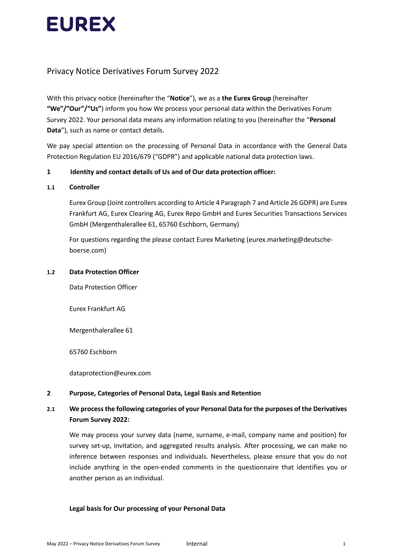

# Privacy Notice Derivatives Forum Survey 2022

With this privacy notice (hereinafter the "**Notice**"), we as a **the Eurex Group** (hereinafter **"We"/"Our"/"Us"**) inform you how We process your personal data within the Derivatives Forum Survey 2022. Your personal data means any information relating to you (hereinafter the "**Personal Data**"), such as name or contact details.

We pay special attention on the processing of Personal Data in accordance with the General Data Protection Regulation EU 2016/679 ("GDPR") and applicable national data protection laws.

### **1 Identity and contact details of Us and of Our data protection officer:**

### **1.1 Controller**

Eurex Group (Joint controllers according to Article 4 Paragraph 7 and Article 26 GDPR) are Eurex Frankfurt AG, Eurex Clearing AG, Eurex Repo GmbH and Eurex Securities Transactions Services GmbH (Mergenthalerallee 61, 65760 Eschborn, Germany)

For questions regarding the please contact Eurex Marketing (eurex.marketing@deutscheboerse.com)

#### **1.2 Data Protection Officer**

Data Protection Officer

Eurex Frankfurt AG

Mergenthalerallee 61

65760 Eschborn

dataprotection@eurex.com

### **2 Purpose, Categories of Personal Data, Legal Basis and Retention**

### **2.1 We process the following categories of your Personal Data for the purposes of the Derivatives Forum Survey 2022:**

We may process your survey data (name, surname, e-mail, company name and position) for survey set-up, invitation, and aggregated results analysis. After processing, we can make no inference between responses and individuals. Nevertheless, please ensure that you do not include anything in the open-ended comments in the questionnaire that identifies you or another person as an individual.

### **Legal basis for Our processing of your Personal Data**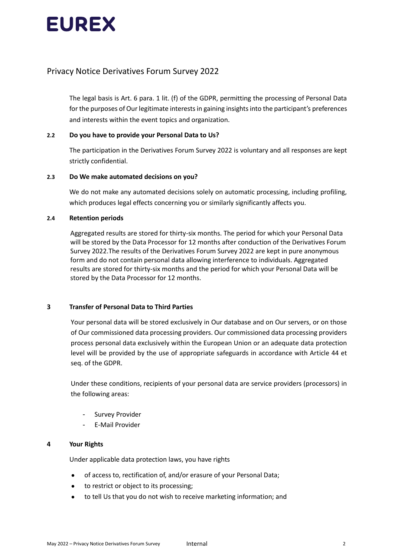

### Privacy Notice Derivatives Forum Survey 2022

The legal basis is Art. 6 para. 1 lit. (f) of the GDPR, permitting the processing of Personal Data for the purposes of Our legitimate interests in gaining insights into the participant's preferences and interests within the event topics and organization.

### **2.2 Do you have to provide your Personal Data to Us?**

The participation in the Derivatives Forum Survey 2022 is voluntary and all responses are kept strictly confidential.

### **2.3 Do We make automated decisions on you?**

We do not make any automated decisions solely on automatic processing, including profiling, which produces legal effects concerning you or similarly significantly affects you.

### **2.4 Retention periods**

Aggregated results are stored for thirty-six months. The period for which your Personal Data will be stored by the Data Processor for 12 months after conduction of the Derivatives Forum Survey 2022.The results of the Derivatives Forum Survey 2022 are kept in pure anonymous form and do not contain personal data allowing interference to individuals. Aggregated results are stored for thirty-six months and the period for which your Personal Data will be stored by the Data Processor for 12 months.

### **3 Transfer of Personal Data to Third Parties**

Your personal data will be stored exclusively in Our database and on Our servers, or on those of Our commissioned data processing providers. Our commissioned data processing providers process personal data exclusively within the European Union or an adequate data protection level will be provided by the use of appropriate safeguards in accordance with Article 44 et seq. of the GDPR.

Under these conditions, recipients of your personal data are service providers (processors) in the following areas:

- Survey Provider
- E-Mail Provider

### **4 Your Rights**

Under applicable data protection laws, you have rights

- of access to, rectification of, and/or erasure of your Personal Data;
- to restrict or object to its processing;
- to tell Us that you do not wish to receive marketing information; and